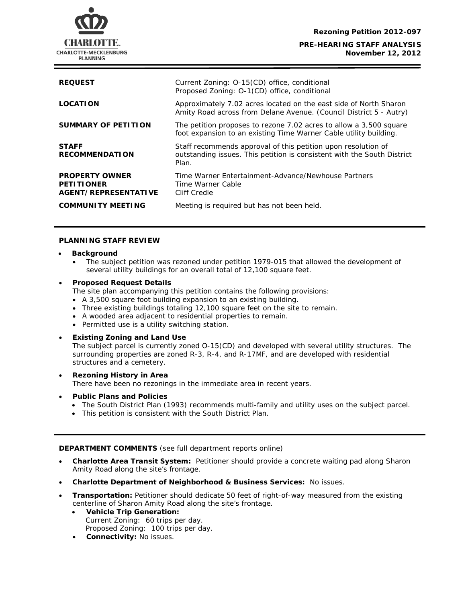

| <b>REQUEST</b>                                                     | Current Zoning: O-15(CD) office, conditional<br>Proposed Zoning: O-1(CD) office, conditional                                                      |
|--------------------------------------------------------------------|---------------------------------------------------------------------------------------------------------------------------------------------------|
| <b>LOCATION</b>                                                    | Approximately 7.02 acres located on the east side of North Sharon<br>Amity Road across from Delane Avenue. (Council District 5 - Autry)           |
| <b>SUMMARY OF PETITION</b>                                         | The petition proposes to rezone 7.02 acres to allow a 3,500 square<br>foot expansion to an existing Time Warner Cable utility building.           |
| <b>STAFF</b><br><b>RECOMMENDATION</b>                              | Staff recommends approval of this petition upon resolution of<br>outstanding issues. This petition is consistent with the South District<br>Plan. |
| <b>PROPERTY OWNER</b><br><b>PETITIONER</b><br>AGENT/REPRESENTATIVE | Time Warner Entertainment-Advance/Newhouse Partners<br>Time Warner Cable<br>Cliff Credle                                                          |
| <b>COMMUNITY MEETING</b>                                           | Meeting is required but has not been held.                                                                                                        |

### **PLANNING STAFF REVIEW**

- **Background** 
	- The subject petition was rezoned under petition 1979-015 that allowed the development of several utility buildings for an overall total of 12,100 square feet.

### • **Proposed Request Details**

The site plan accompanying this petition contains the following provisions:

- A 3,500 square foot building expansion to an existing building.
- Three existing buildings totaling 12,100 square feet on the site to remain.
- A wooded area adjacent to residential properties to remain.
- Permitted use is a utility switching station.

# • **Existing Zoning and Land Use**

The subject parcel is currently zoned O-15(CD) and developed with several utility structures. The surrounding properties are zoned R-3, R-4, and R-17MF, and are developed with residential structures and a cemetery.

• **Rezoning History in Area** There have been no rezonings in the immediate area in recent years.

# • **Public Plans and Policies**

- *The South District Plan* (1993) recommends multi-family and utility uses on the subject parcel.
- This petition is consistent with the *South District Plan*.

# **DEPARTMENT COMMENTS** (see full department reports online)

- **Charlotte Area Transit System:** Petitioner should provide a concrete waiting pad along Sharon Amity Road along the site's frontage.
- **Charlotte Department of Neighborhood & Business Services:** No issues.
- **Transportation:** Petitioner should dedicate 50 feet of right-of-way measured from the existing centerline of Sharon Amity Road along the site's frontage.
	- **Vehicle Trip Generation:** Current Zoning: 60 trips per day. Proposed Zoning: 100 trips per day.
	- **Connectivity:** No issues.